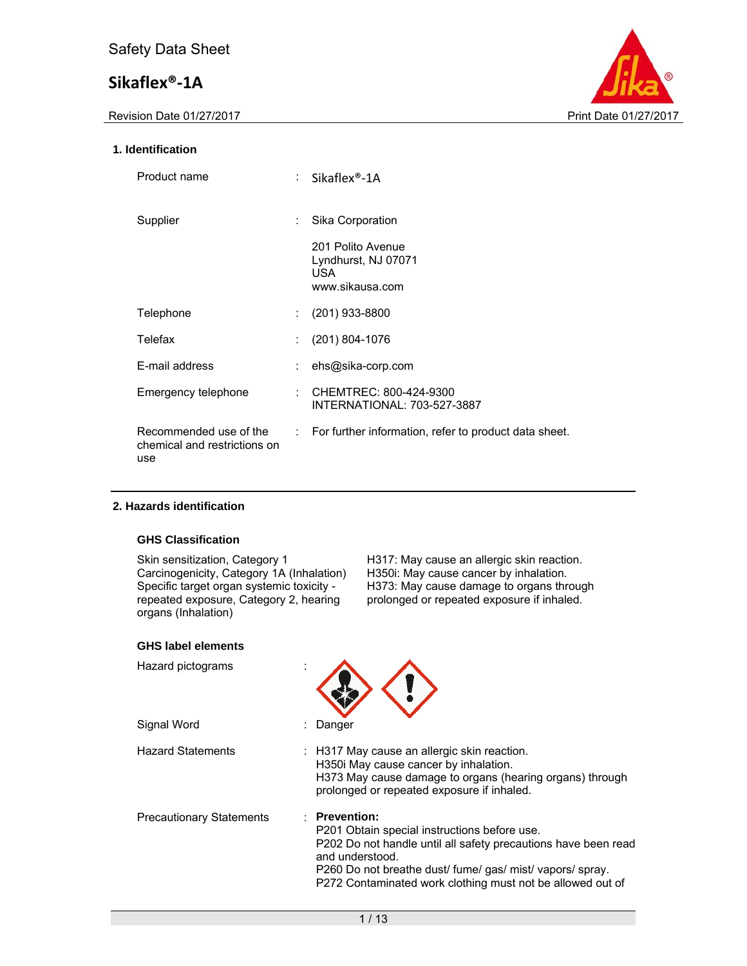Revision Date 01/27/2017 **Print Date 01/27/2017** 



## **1. Identification**

| Product name                                                  |    | Sikaflex <sup>®</sup> -1A                                           |
|---------------------------------------------------------------|----|---------------------------------------------------------------------|
| Supplier                                                      | ÷. | Sika Corporation                                                    |
|                                                               |    | 201 Polito Avenue<br>Lyndhurst, NJ 07071<br>USA.<br>www.sikausa.com |
| Telephone                                                     |    | $(201)$ 933-8800                                                    |
| Telefax                                                       |    | $(201)$ 804-1076                                                    |
| E-mail address                                                |    | ehs@sika-corp.com                                                   |
| Emergency telephone                                           |    | : CHEMTREC: 800-424-9300<br>INTERNATIONAL: 703-527-3887             |
| Recommended use of the<br>chemical and restrictions on<br>use |    | $\therefore$ For further information, refer to product data sheet.  |

### **2. Hazards identification**

### **GHS Classification**

Carcinogenicity, Category 1A (Inhalation) Specific target organ systemic toxicity repeated exposure, Category 2, hearing organs (Inhalation)

Skin sensitization, Category 1 H317: May cause an allergic skin reaction.<br>Carcinogenicity, Category 1A (Inhalation) H350i: May cause cancer by inhalation. H373: May cause damage to organs through prolonged or repeated exposure if inhaled.

### **GHS label elements**

| Hazard pictograms               |                                                                                                                                                                                                                                                                                 |
|---------------------------------|---------------------------------------------------------------------------------------------------------------------------------------------------------------------------------------------------------------------------------------------------------------------------------|
| Signal Word                     | Danger                                                                                                                                                                                                                                                                          |
| <b>Hazard Statements</b>        | : H317 May cause an allergic skin reaction.<br>H350i May cause cancer by inhalation.<br>H373 May cause damage to organs (hearing organs) through<br>prolonged or repeated exposure if inhaled.                                                                                  |
| <b>Precautionary Statements</b> | $:$ Prevention:<br>P201 Obtain special instructions before use.<br>P202 Do not handle until all safety precautions have been read<br>and understood.<br>P260 Do not breathe dust/ fume/ gas/ mist/ vapors/ spray.<br>P272 Contaminated work clothing must not be allowed out of |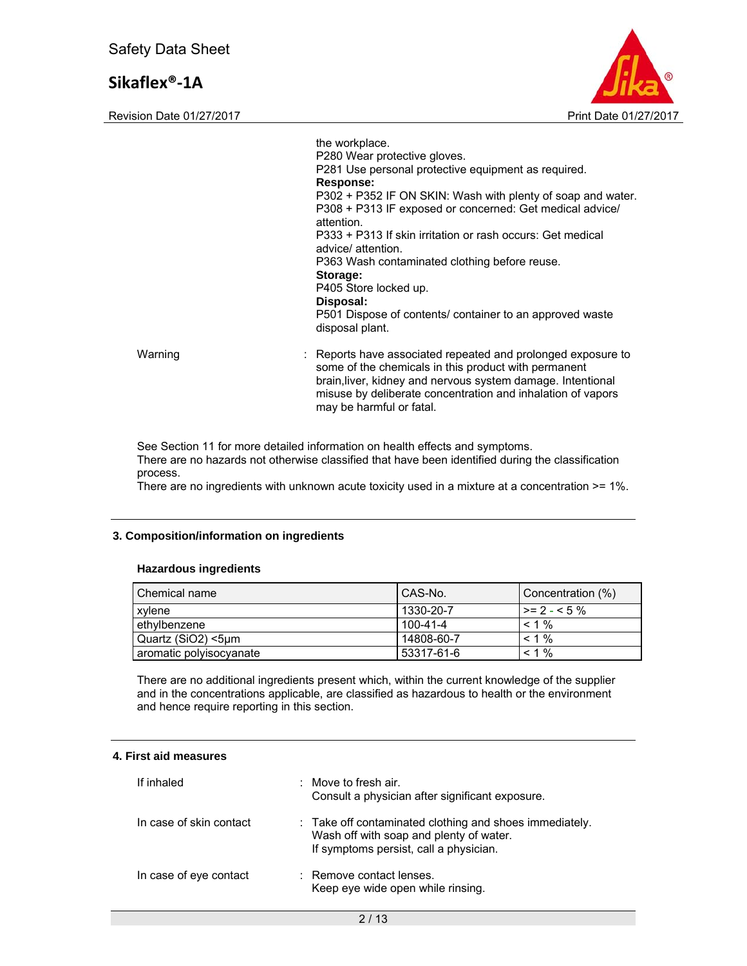Revision Date 01/27/2017 **Print Date 01/27/2017** Print Date 01/27/2017



|         | the workplace.<br>P280 Wear protective gloves.<br>P281 Use personal protective equipment as required.<br>Response:<br>P302 + P352 IF ON SKIN: Wash with plenty of soap and water.<br>P308 + P313 IF exposed or concerned: Get medical advice/<br>attention.<br>P333 + P313 If skin irritation or rash occurs: Get medical<br>advice/attention.<br>P363 Wash contaminated clothing before reuse.<br>Storage:<br>P405 Store locked up.<br>Disposal:<br>P501 Dispose of contents/ container to an approved waste<br>disposal plant. |
|---------|----------------------------------------------------------------------------------------------------------------------------------------------------------------------------------------------------------------------------------------------------------------------------------------------------------------------------------------------------------------------------------------------------------------------------------------------------------------------------------------------------------------------------------|
| Warning | : Reports have associated repeated and prolonged exposure to<br>some of the chemicals in this product with permanent<br>brain, liver, kidney and nervous system damage. Intentional<br>misuse by deliberate concentration and inhalation of vapors<br>may be harmful or fatal.                                                                                                                                                                                                                                                   |

See Section 11 for more detailed information on health effects and symptoms. There are no hazards not otherwise classified that have been identified during the classification process.

There are no ingredients with unknown acute toxicity used in a mixture at a concentration >= 1%.

#### **3. Composition/information on ingredients**

#### **Hazardous ingredients**

| Chemical name           | CAS-No.    | Concentration (%) |
|-------------------------|------------|-------------------|
| xylene                  | 1330-20-7  | $\ge$ = 2 - < 5 % |
| ethylbenzene            | 100-41-4   | $< 1\%$           |
| l Quartz (SiO2) <5um    | 14808-60-7 | $< 1\%$           |
| aromatic polyisocyanate | 53317-61-6 | $< 1\%$           |

There are no additional ingredients present which, within the current knowledge of the supplier and in the concentrations applicable, are classified as hazardous to health or the environment and hence require reporting in this section.

### **4. First aid measures**

| If inhaled              | $\therefore$ Move to fresh air.<br>Consult a physician after significant exposure.                                                           |
|-------------------------|----------------------------------------------------------------------------------------------------------------------------------------------|
| In case of skin contact | : Take off contaminated clothing and shoes immediately.<br>Wash off with soap and plenty of water.<br>If symptoms persist, call a physician. |
| In case of eye contact  | : Remove contact lenses.<br>Keep eye wide open while rinsing.                                                                                |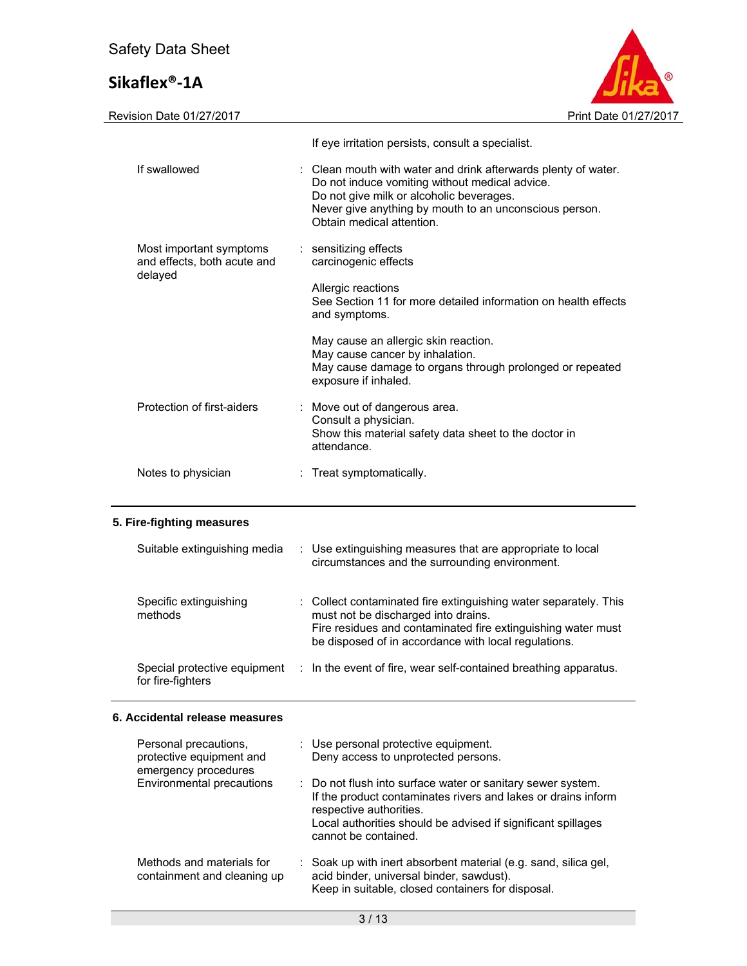Revision Date 01/27/2017 **Print Date 01/27/2017** 

|                                                        | If eye irritation persists, consult a specialist.                                                                                                                                                                                                   |
|--------------------------------------------------------|-----------------------------------------------------------------------------------------------------------------------------------------------------------------------------------------------------------------------------------------------------|
| If swallowed                                           | : Clean mouth with water and drink afterwards plenty of water.<br>Do not induce vomiting without medical advice.<br>Do not give milk or alcoholic beverages.<br>Never give anything by mouth to an unconscious person.<br>Obtain medical attention. |
| Most important symptoms<br>and effects, both acute and | : sensitizing effects<br>carcinogenic effects                                                                                                                                                                                                       |
| delayed                                                | Allergic reactions<br>See Section 11 for more detailed information on health effects<br>and symptoms.                                                                                                                                               |
|                                                        | May cause an allergic skin reaction.<br>May cause cancer by inhalation.<br>May cause damage to organs through prolonged or repeated<br>exposure if inhaled.                                                                                         |
| Protection of first-aiders                             | : Move out of dangerous area.<br>Consult a physician.<br>Show this material safety data sheet to the doctor in<br>attendance.                                                                                                                       |
| Notes to physician                                     | : Treat symptomatically.                                                                                                                                                                                                                            |

| Suitable extinguishing media                      | : Use extinguishing measures that are appropriate to local<br>circumstances and the surrounding environment.                                                                                                                    |
|---------------------------------------------------|---------------------------------------------------------------------------------------------------------------------------------------------------------------------------------------------------------------------------------|
| Specific extinguishing<br>methods                 | : Collect contaminated fire extinguishing water separately. This<br>must not be discharged into drains.<br>Fire residues and contaminated fire extinguishing water must<br>be disposed of in accordance with local regulations. |
| Special protective equipment<br>for fire-fighters | : In the event of fire, wear self-contained breathing apparatus.                                                                                                                                                                |

## **6. Accidental release measures**

| Personal precautions,<br>protective equipment and<br>emergency procedures | : Use personal protective equipment.<br>Deny access to unprotected persons.                                                                                                                                                                     |  |
|---------------------------------------------------------------------------|-------------------------------------------------------------------------------------------------------------------------------------------------------------------------------------------------------------------------------------------------|--|
| Environmental precautions                                                 | : Do not flush into surface water or sanitary sewer system.<br>If the product contaminates rivers and lakes or drains inform<br>respective authorities.<br>Local authorities should be advised if significant spillages<br>cannot be contained. |  |
| Methods and materials for<br>containment and cleaning up                  | : Soak up with inert absorbent material (e.g. sand, silica gel,<br>acid binder, universal binder, sawdust).<br>Keep in suitable, closed containers for disposal.                                                                                |  |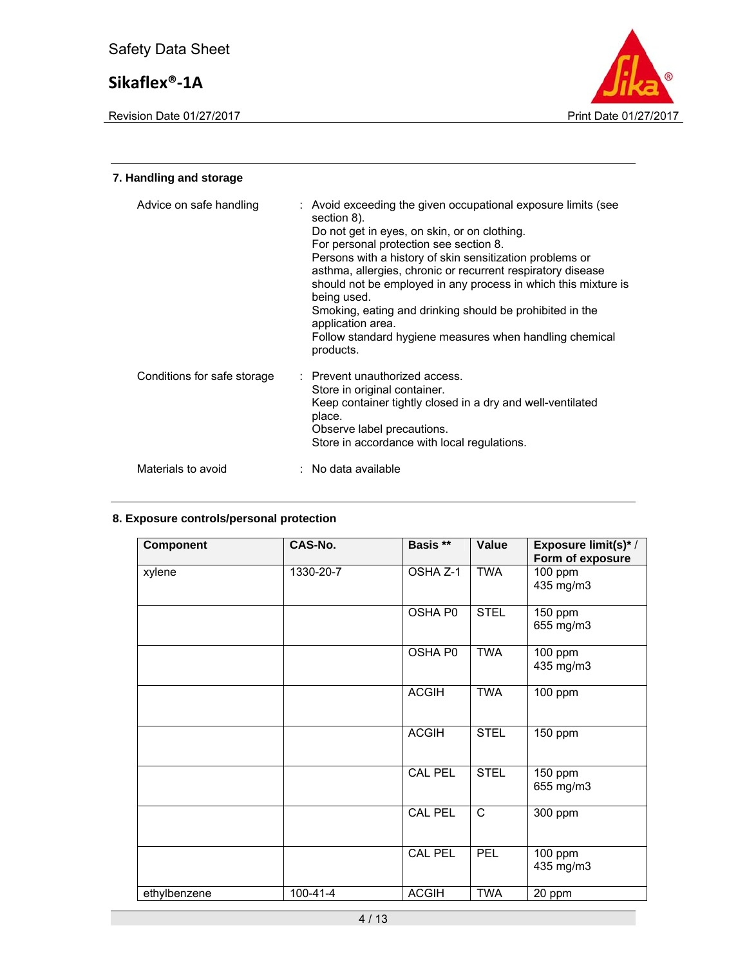Revision Date 01/27/2017 **Print Date 01/27/2017** Print Date 01/27/2017



## **7. Handling and storage**  Advice on safe handling : Avoid exceeding the given occupational exposure limits (see section 8). Do not get in eyes, on skin, or on clothing. For personal protection see section 8. Persons with a history of skin sensitization problems or asthma, allergies, chronic or recurrent respiratory disease should not be employed in any process in which this mixture is being used. Smoking, eating and drinking should be prohibited in the application area. Follow standard hygiene measures when handling chemical products. Conditions for safe storage : Prevent unauthorized access. Store in original container. Keep container tightly closed in a dry and well-ventilated place. Observe label precautions. Store in accordance with local regulations. Materials to avoid : No data available

## **8. Exposure controls/personal protection**

| <b>Component</b> | CAS-No.        | Basis **       | Value        | Exposure limit(s)* /<br>Form of exposure |
|------------------|----------------|----------------|--------------|------------------------------------------|
| xylene           | 1330-20-7      | OSHA Z-1       | TWA          | 100 ppm<br>435 mg/m3                     |
|                  |                | OSHA P0        | <b>STEL</b>  | 150 ppm<br>655 mg/m3                     |
|                  |                | OSHA P0        | <b>TWA</b>   | 100 ppm<br>435 mg/m3                     |
|                  |                | <b>ACGIH</b>   | <b>TWA</b>   | 100 ppm                                  |
|                  |                | <b>ACGIH</b>   | <b>STEL</b>  | 150 ppm                                  |
|                  |                | <b>CAL PEL</b> | <b>STEL</b>  | 150 ppm<br>655 mg/m3                     |
|                  |                | <b>CAL PEL</b> | $\mathsf{C}$ | 300 ppm                                  |
|                  |                | <b>CAL PEL</b> | <b>PEL</b>   | 100 ppm<br>435 mg/m3                     |
| ethylbenzene     | $100 - 41 - 4$ | <b>ACGIH</b>   | <b>TWA</b>   | 20 ppm                                   |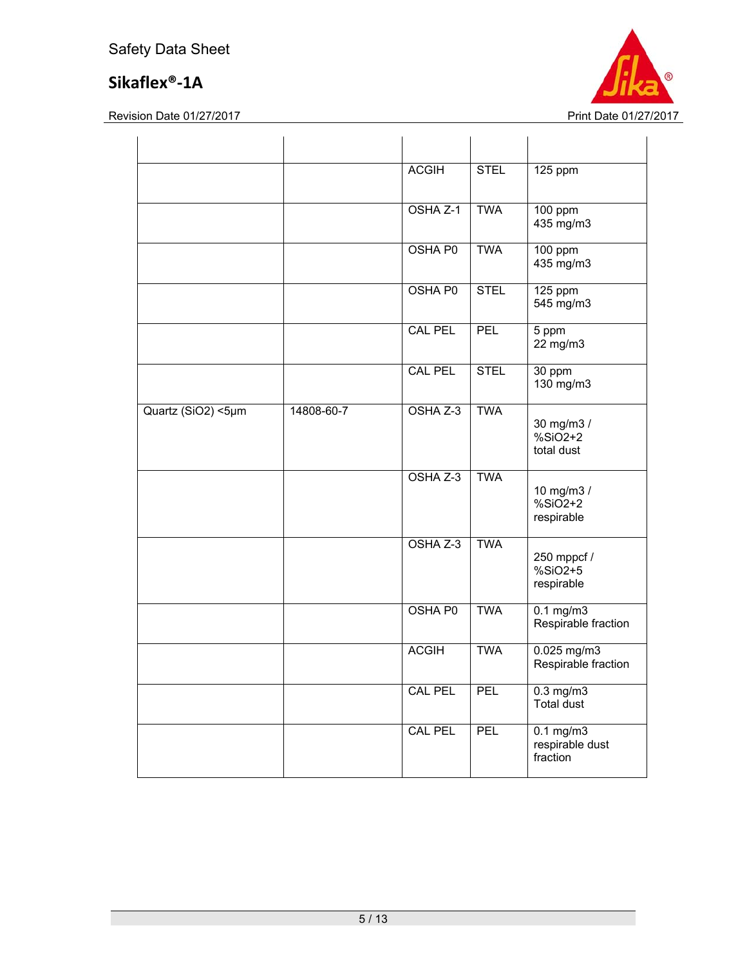

|                    |            | <b>ACGIH</b>   | <b>STEL</b> | 125 ppm                                           |
|--------------------|------------|----------------|-------------|---------------------------------------------------|
|                    |            | OSHA Z-1       | <b>TWA</b>  | 100 ppm<br>435 mg/m3                              |
|                    |            | OSHA P0        | <b>TWA</b>  | 100 ppm<br>435 mg/m3                              |
|                    |            | OSHA P0        | <b>STEL</b> | 125 ppm<br>545 mg/m3                              |
|                    |            | <b>CAL PEL</b> | <b>PEL</b>  | 5 ppm<br>22 mg/m3                                 |
|                    |            | <b>CAL PEL</b> | <b>STEL</b> | 30 ppm<br>130 mg/m3                               |
| Quartz (SiO2) <5µm | 14808-60-7 | OSHA Z-3       | <b>TWA</b>  | 30 mg/m3 /<br>$%SiO2+2$<br>total dust             |
|                    |            | OSHA Z-3       | <b>TWA</b>  | 10 mg/m3 /<br>$%SiO2+2$<br>respirable             |
|                    |            | OSHA Z-3       | <b>TWA</b>  | 250 mppcf /<br>%SiO2+5<br>respirable              |
|                    |            | OSHA P0        | <b>TWA</b>  | $0.1$ mg/m $3$<br>Respirable fraction             |
|                    |            | <b>ACGIH</b>   | <b>TWA</b>  | 0.025 mg/m3<br>Respirable fraction                |
|                    |            | <b>CAL PEL</b> | PEL         | $0.3$ mg/m $3$<br>Total dust                      |
|                    |            | <b>CAL PEL</b> | PEL         | $0.1 \text{ mg/m}$<br>respirable dust<br>fraction |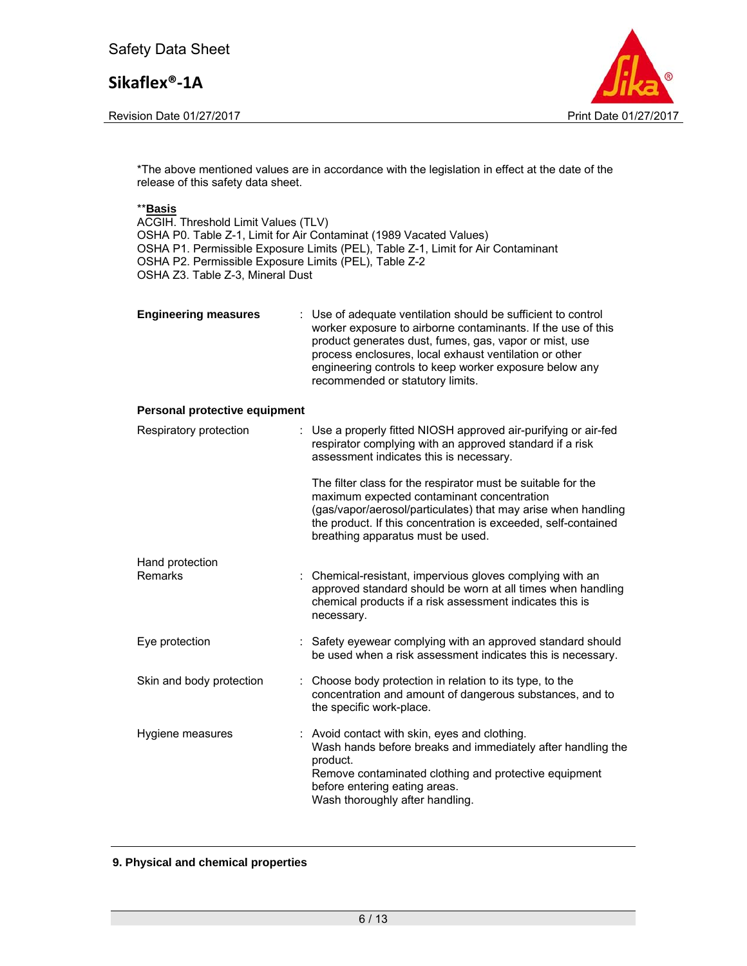Revision Date 01/27/2017 **Print Date 01/27/2017** 



\*The above mentioned values are in accordance with the legislation in effect at the date of the release of this safety data sheet.

### \*\***Basis**

ACGIH. Threshold Limit Values (TLV) OSHA P0. Table Z-1, Limit for Air Contaminat (1989 Vacated Values) OSHA P1. Permissible Exposure Limits (PEL), Table Z-1, Limit for Air Contaminant OSHA P2. Permissible Exposure Limits (PEL), Table Z-2 OSHA Z3. Table Z-3, Mineral Dust

| <b>Engineering measures</b> | : Use of adequate ventilation should be sufficient to control<br>worker exposure to airborne contaminants. If the use of this<br>product generates dust, fumes, gas, vapor or mist, use<br>process enclosures, local exhaust ventilation or other<br>engineering controls to keep worker exposure below any<br>recommended or statutory limits. |
|-----------------------------|-------------------------------------------------------------------------------------------------------------------------------------------------------------------------------------------------------------------------------------------------------------------------------------------------------------------------------------------------|
|                             |                                                                                                                                                                                                                                                                                                                                                 |

#### **Personal protective equipment**

| Respiratory protection   | : Use a properly fitted NIOSH approved air-purifying or air-fed<br>respirator complying with an approved standard if a risk<br>assessment indicates this is necessary.                                                                                                             |
|--------------------------|------------------------------------------------------------------------------------------------------------------------------------------------------------------------------------------------------------------------------------------------------------------------------------|
|                          | The filter class for the respirator must be suitable for the<br>maximum expected contaminant concentration<br>(gas/vapor/aerosol/particulates) that may arise when handling<br>the product. If this concentration is exceeded, self-contained<br>breathing apparatus must be used. |
| Hand protection          |                                                                                                                                                                                                                                                                                    |
| Remarks                  | : Chemical-resistant, impervious gloves complying with an<br>approved standard should be worn at all times when handling<br>chemical products if a risk assessment indicates this is<br>necessary.                                                                                 |
| Eye protection           | : Safety eyewear complying with an approved standard should<br>be used when a risk assessment indicates this is necessary.                                                                                                                                                         |
| Skin and body protection | : Choose body protection in relation to its type, to the<br>concentration and amount of dangerous substances, and to<br>the specific work-place.                                                                                                                                   |
| Hygiene measures         | : Avoid contact with skin, eyes and clothing.<br>Wash hands before breaks and immediately after handling the<br>product.<br>Remove contaminated clothing and protective equipment<br>before entering eating areas.<br>Wash thoroughly after handling.                              |

#### **9. Physical and chemical properties**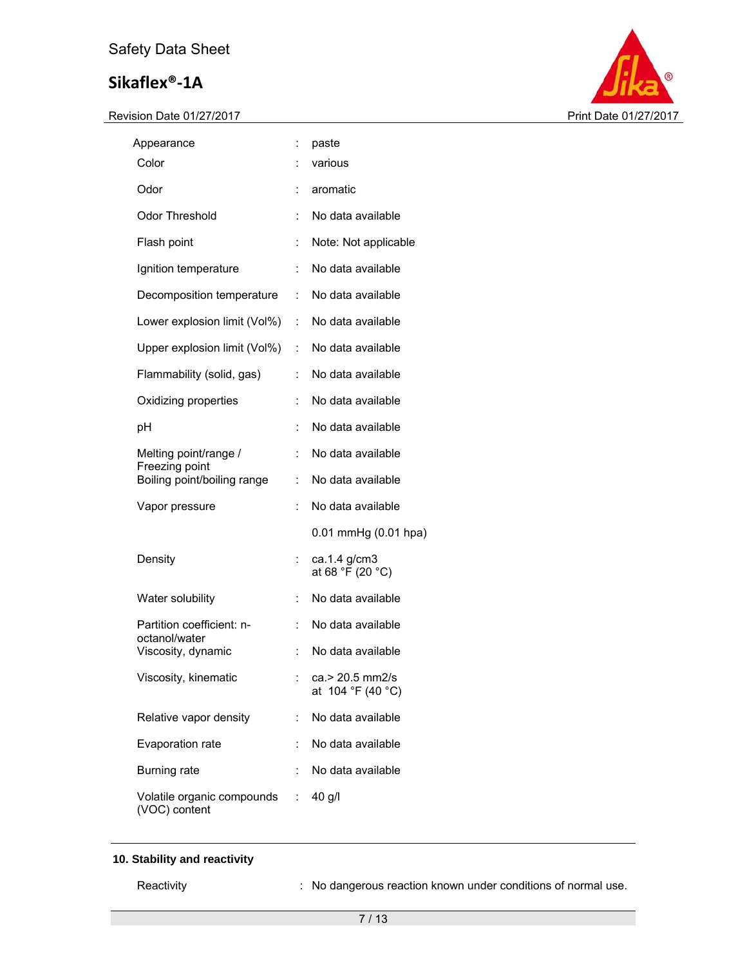Revision Date 01/27/2017 **Print Date 01/27/2017** 



| Appearance                                    | Ì.                          | paste                                |
|-----------------------------------------------|-----------------------------|--------------------------------------|
| Color                                         |                             | various                              |
| Odor                                          | ÷                           | aromatic                             |
| <b>Odor Threshold</b>                         | t                           | No data available                    |
| Flash point                                   | $\ddot{\cdot}$              | Note: Not applicable                 |
| Ignition temperature                          | $\ddot{\phantom{a}}$        | No data available                    |
| Decomposition temperature                     | $\mathcal{L}^{\mathcal{L}}$ | No data available                    |
| Lower explosion limit (Vol%)                  | $\mathcal{L}^{\mathcal{L}}$ | No data available                    |
| Upper explosion limit (Vol%) :                |                             | No data available                    |
| Flammability (solid, gas)                     | t.                          | No data available                    |
| Oxidizing properties                          | t                           | No data available                    |
| рH                                            | $\ddot{\phantom{a}}$        | No data available                    |
| Melting point/range /                         | ÷.                          | No data available                    |
| Freezing point<br>Boiling point/boiling range | ÷.                          | No data available                    |
| Vapor pressure                                | ÷                           | No data available                    |
|                                               |                             | 0.01 mmHg (0.01 hpa)                 |
| Density                                       | ÷,                          | ca.1.4 g/cm3<br>at 68 °F (20 °C)     |
| Water solubility                              |                             | No data available                    |
| Partition coefficient: n-                     | ÷.                          | No data available                    |
| octanol/water<br>Viscosity, dynamic           |                             | No data available                    |
| Viscosity, kinematic                          |                             | ca.> 20.5 mm2/s<br>at 104 °F (40 °C) |
| Relative vapor density                        | t.                          | No data available                    |
| Evaporation rate                              | ÷                           | No data available                    |
| <b>Burning rate</b>                           |                             | No data available                    |
| Volatile organic compounds :<br>(VOC) content |                             | 40 g/l                               |

## **10. Stability and reactivity**

Reactivity **Reactivity** : No dangerous reaction known under conditions of normal use.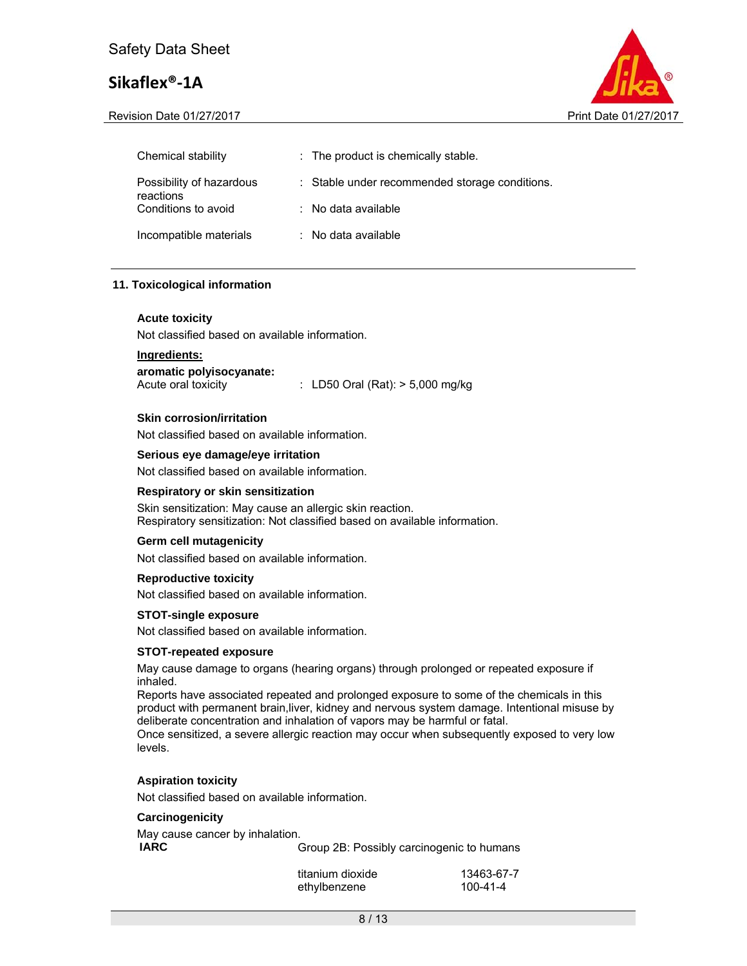Revision Date 01/27/2017 **Print Date 01/27/2017** Print Date 01/27/2017



| Chemical stability                    | : The product is chemically stable.            |
|---------------------------------------|------------------------------------------------|
| Possibility of hazardous<br>reactions | : Stable under recommended storage conditions. |
| Conditions to avoid                   | $\therefore$ No data available                 |
| Incompatible materials                | : No data available                            |

### **11. Toxicological information**

#### **Acute toxicity**

Not classified based on available information.

## **Ingredients:**

**aromatic polyisocyanate:** 

Acute oral toxicity : LD50 Oral (Rat): > 5,000 mg/kg

#### **Skin corrosion/irritation**

Not classified based on available information.

#### **Serious eye damage/eye irritation**

Not classified based on available information.

#### **Respiratory or skin sensitization**

Skin sensitization: May cause an allergic skin reaction. Respiratory sensitization: Not classified based on available information.

#### **Germ cell mutagenicity**

Not classified based on available information.

#### **Reproductive toxicity**

Not classified based on available information.

#### **STOT-single exposure**

Not classified based on available information.

#### **STOT-repeated exposure**

May cause damage to organs (hearing organs) through prolonged or repeated exposure if inhaled.

Reports have associated repeated and prolonged exposure to some of the chemicals in this product with permanent brain,liver, kidney and nervous system damage. Intentional misuse by deliberate concentration and inhalation of vapors may be harmful or fatal.

Once sensitized, a severe allergic reaction may occur when subsequently exposed to very low levels.

#### **Aspiration toxicity**

Not classified based on available information.

#### **Carcinogenicity**

| May cause cancer by inhalation. |                                           |
|---------------------------------|-------------------------------------------|
| IARC                            | Group 2B: Possibly carcinogenic to humans |

| titanium dioxide | 13463-67-7 |
|------------------|------------|
| ethylbenzene     | 100-41-4   |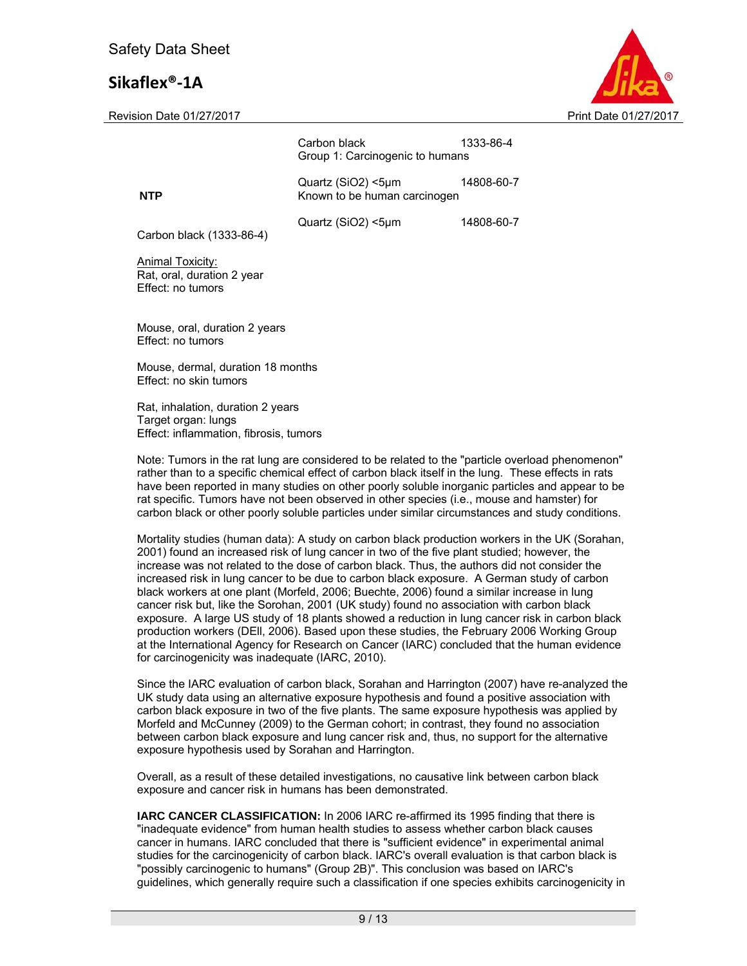Revision Date 01/27/2017 **Print Date 01/27/2017** Print Date 01/27/2017



|                                                                                                    | Carbon black<br>Group 1: Carcinogenic to humans    | 1333-86-4  |
|----------------------------------------------------------------------------------------------------|----------------------------------------------------|------------|
| <b>NTP</b>                                                                                         | Quartz (SiO2) <5µm<br>Known to be human carcinogen | 14808-60-7 |
| Carbon black (1333-86-4)                                                                           | Quartz (SiO2) <5µm                                 | 14808-60-7 |
| Animal Toxicity:<br>Rat, oral, duration 2 year<br>Effect: no tumors                                |                                                    |            |
| Mouse, oral, duration 2 years<br>Effect: no tumors                                                 |                                                    |            |
| Mouse, dermal, duration 18 months<br>Effect: no skin tumors                                        |                                                    |            |
| Rat, inhalation, duration 2 years<br>Target organ: lungs<br>Effect: inflammation, fibrosis, tumors |                                                    |            |

Note: Tumors in the rat lung are considered to be related to the "particle overload phenomenon" rather than to a specific chemical effect of carbon black itself in the lung. These effects in rats have been reported in many studies on other poorly soluble inorganic particles and appear to be rat specific. Tumors have not been observed in other species (i.e., mouse and hamster) for carbon black or other poorly soluble particles under similar circumstances and study conditions.

Mortality studies (human data): A study on carbon black production workers in the UK (Sorahan, 2001) found an increased risk of lung cancer in two of the five plant studied; however, the increase was not related to the dose of carbon black. Thus, the authors did not consider the increased risk in lung cancer to be due to carbon black exposure. A German study of carbon black workers at one plant (Morfeld, 2006; Buechte, 2006) found a similar increase in lung cancer risk but, like the Sorohan, 2001 (UK study) found no association with carbon black exposure. A large US study of 18 plants showed a reduction in lung cancer risk in carbon black production workers (DEll, 2006). Based upon these studies, the February 2006 Working Group at the International Agency for Research on Cancer (IARC) concluded that the human evidence for carcinogenicity was inadequate (IARC, 2010).

Since the IARC evaluation of carbon black, Sorahan and Harrington (2007) have re-analyzed the UK study data using an alternative exposure hypothesis and found a positive association with carbon black exposure in two of the five plants. The same exposure hypothesis was applied by Morfeld and McCunney (2009) to the German cohort; in contrast, they found no association between carbon black exposure and lung cancer risk and, thus, no support for the alternative exposure hypothesis used by Sorahan and Harrington.

Overall, as a result of these detailed investigations, no causative link between carbon black exposure and cancer risk in humans has been demonstrated.

**IARC CANCER CLASSIFICATION:** In 2006 IARC re-affirmed its 1995 finding that there is "inadequate evidence" from human health studies to assess whether carbon black causes cancer in humans. IARC concluded that there is "sufficient evidence" in experimental animal studies for the carcinogenicity of carbon black. IARC's overall evaluation is that carbon black is "possibly carcinogenic to humans" (Group 2B)". This conclusion was based on IARC's guidelines, which generally require such a classification if one species exhibits carcinogenicity in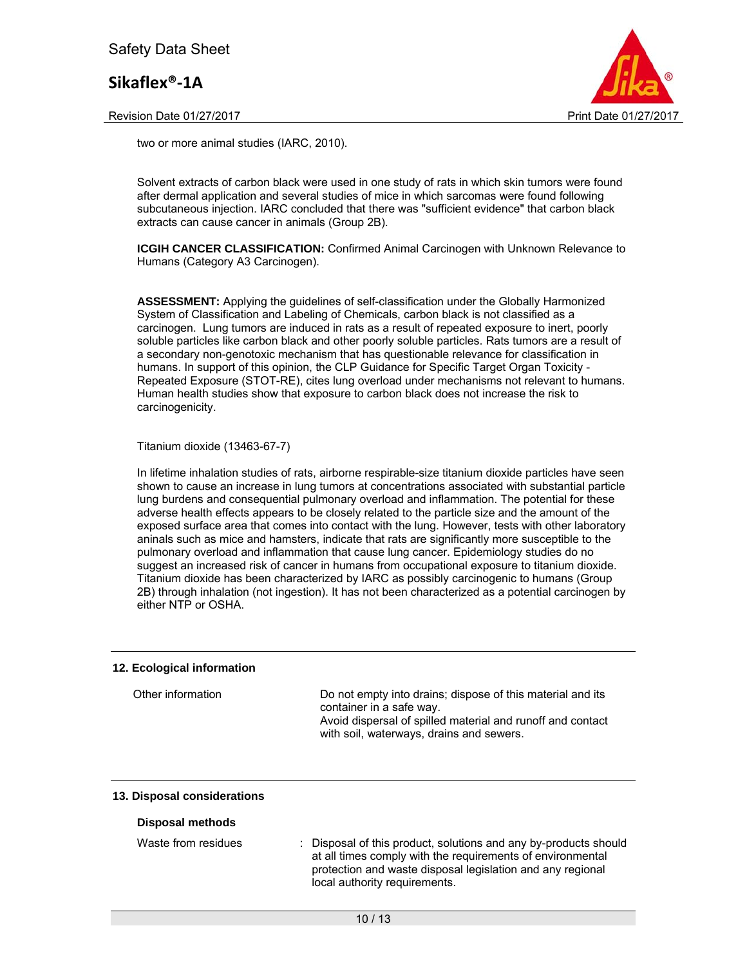Revision Date 01/27/2017 **Print Date 01/27/2017** Print Date 01/27/2017



two or more animal studies (IARC, 2010).

Solvent extracts of carbon black were used in one study of rats in which skin tumors were found after dermal application and several studies of mice in which sarcomas were found following subcutaneous injection. IARC concluded that there was "sufficient evidence" that carbon black extracts can cause cancer in animals (Group 2B).

**ICGIH CANCER CLASSIFICATION: Confirmed Animal Carcinogen with Unknown Relevance to** Humans (Category A3 Carcinogen).

**ASSESSMENT:** Applying the guidelines of self-classification under the Globally Harmonized System of Classification and Labeling of Chemicals, carbon black is not classified as a carcinogen. Lung tumors are induced in rats as a result of repeated exposure to inert, poorly soluble particles like carbon black and other poorly soluble particles. Rats tumors are a result of a secondary non-genotoxic mechanism that has questionable relevance for classification in humans. In support of this opinion, the CLP Guidance for Specific Target Organ Toxicity - Repeated Exposure (STOT-RE), cites lung overload under mechanisms not relevant to humans. Human health studies show that exposure to carbon black does not increase the risk to carcinogenicity.

#### Titanium dioxide (13463-67-7)

In lifetime inhalation studies of rats, airborne respirable-size titanium dioxide particles have seen shown to cause an increase in lung tumors at concentrations associated with substantial particle lung burdens and consequential pulmonary overload and inflammation. The potential for these adverse health effects appears to be closely related to the particle size and the amount of the exposed surface area that comes into contact with the lung. However, tests with other laboratory aninals such as mice and hamsters, indicate that rats are significantly more susceptible to the pulmonary overload and inflammation that cause lung cancer. Epidemiology studies do no suggest an increased risk of cancer in humans from occupational exposure to titanium dioxide. Titanium dioxide has been characterized by IARC as possibly carcinogenic to humans (Group 2B) through inhalation (not ingestion). It has not been characterized as a potential carcinogen by either NTP or OSHA.

### **12. Ecological information**

| Other information | Do not empty into drains; dispose of this material and its<br>container in a safe way.                 |
|-------------------|--------------------------------------------------------------------------------------------------------|
|                   | Avoid dispersal of spilled material and runoff and contact<br>with soil, waterways, drains and sewers. |

### **13. Disposal considerations**

#### **Disposal methods**

| : Disposal of this product, solutions and any by-products should |
|------------------------------------------------------------------|
| at all times comply with the requirements of environmental       |
| protection and waste disposal legislation and any regional       |
| local authority requirements.                                    |
|                                                                  |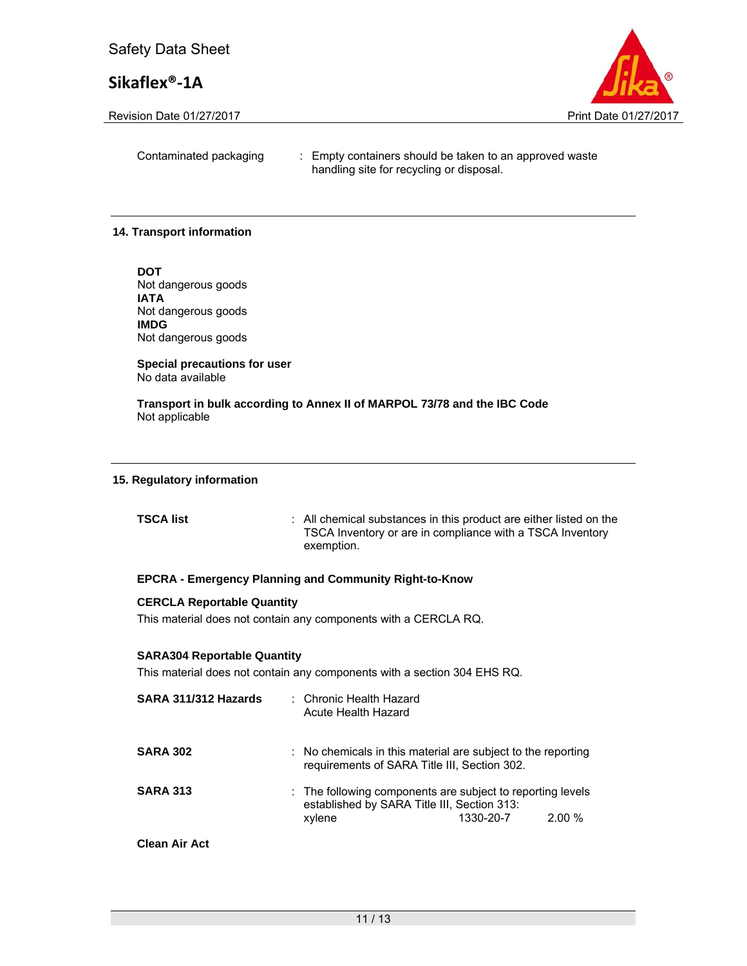Revision Date 01/27/2017 **Print Date 01/27/2017** Print Date 01/27/2017



Contaminated packaging : Empty containers should be taken to an approved waste handling site for recycling or disposal.

### **14. Transport information**

**DOT**  Not dangerous goods **IATA**  Not dangerous goods **IMDG**  Not dangerous goods

**Special precautions for user** No data available

**Transport in bulk according to Annex II of MARPOL 73/78 and the IBC Code**  Not applicable

### **15. Regulatory information**

| <b>TSCA list</b> | : All chemical substances in this product are either listed on the |
|------------------|--------------------------------------------------------------------|
|                  | TSCA Inventory or are in compliance with a TSCA Inventory          |
|                  | exemption.                                                         |

### **EPCRA - Emergency Planning and Community Right-to-Know**

## **CERCLA Reportable Quantity**

This material does not contain any components with a CERCLA RQ.

#### **SARA304 Reportable Quantity**

This material does not contain any components with a section 304 EHS RQ.

| SARA 311/312 Hazards | : Chronic Health Hazard<br>Acute Health Hazard                                                                          |           |          |
|----------------------|-------------------------------------------------------------------------------------------------------------------------|-----------|----------|
| <b>SARA 302</b>      | $\therefore$ No chemicals in this material are subject to the reporting<br>requirements of SARA Title III, Section 302. |           |          |
| <b>SARA 313</b>      | : The following components are subject to reporting levels<br>established by SARA Title III, Section 313:<br>xylene     | 1330-20-7 | $2.00\%$ |
| <b>Clean Air Act</b> |                                                                                                                         |           |          |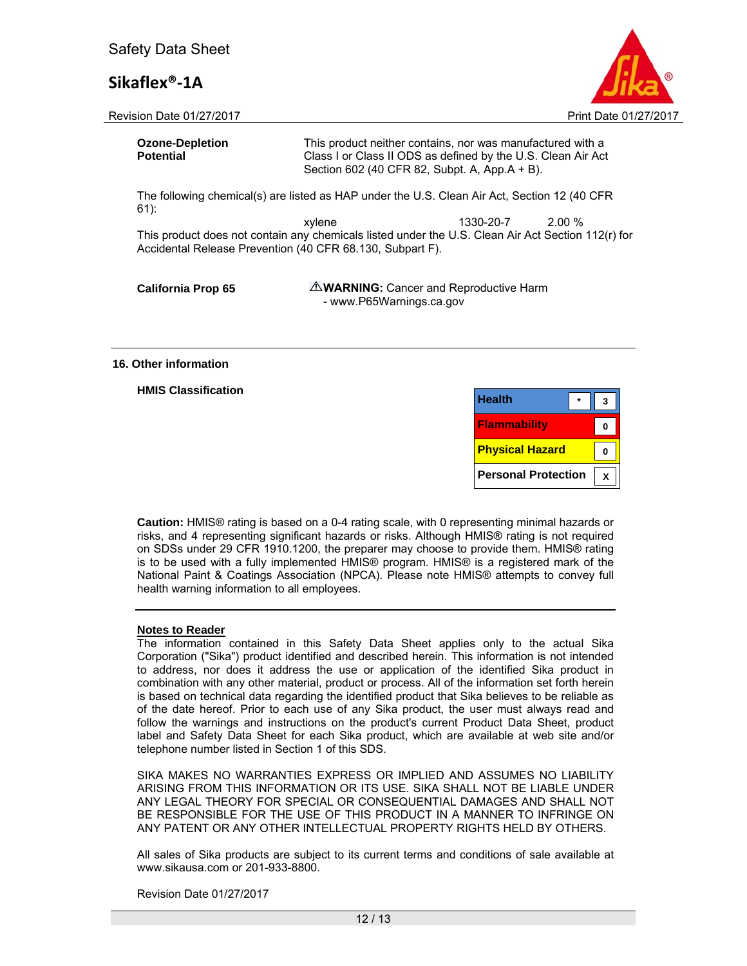

Revision Date 01/27/2017 **Print Date 01/27/2017** Print Date 01/27/2017

| <b>Ozone-Depletion</b><br><b>Potential</b>                                                                                                                                                                                                                                                                 | This product neither contains, nor was manufactured with a<br>Class I or Class II ODS as defined by the U.S. Clean Air Act<br>Section 602 (40 CFR 82, Subpt. A, App.A + B). |  |  |  |  |
|------------------------------------------------------------------------------------------------------------------------------------------------------------------------------------------------------------------------------------------------------------------------------------------------------------|-----------------------------------------------------------------------------------------------------------------------------------------------------------------------------|--|--|--|--|
| The following chemical(s) are listed as HAP under the U.S. Clean Air Act, Section 12 (40 CFR<br>$61$ :<br>2.00 %<br>xylene<br>1330-20-7<br>This product does not contain any chemicals listed under the U.S. Clean Air Act Section 112(r) for<br>Accidental Release Prevention (40 CFR 68.130, Subpart F). |                                                                                                                                                                             |  |  |  |  |
| <b>California Prop 65</b>                                                                                                                                                                                                                                                                                  | <b>AWARNING:</b> Cancer and Reproductive Harm<br>- www.P65Warnings.ca.gov                                                                                                   |  |  |  |  |

#### **16. Other information**

#### **HMIS Classification**

| <b>Health</b>              |  |
|----------------------------|--|
| <b>Flammability</b>        |  |
| <b>Physical Hazard</b>     |  |
| <b>Personal Protection</b> |  |

**Caution:** HMIS® rating is based on a 0-4 rating scale, with 0 representing minimal hazards or risks, and 4 representing significant hazards or risks. Although HMIS® rating is not required on SDSs under 29 CFR 1910.1200, the preparer may choose to provide them. HMIS® rating is to be used with a fully implemented HMIS® program. HMIS® is a registered mark of the National Paint & Coatings Association (NPCA). Please note HMIS® attempts to convey full health warning information to all employees.

#### **Notes to Reader**

The information contained in this Safety Data Sheet applies only to the actual Sika Corporation ("Sika") product identified and described herein. This information is not intended to address, nor does it address the use or application of the identified Sika product in combination with any other material, product or process. All of the information set forth herein is based on technical data regarding the identified product that Sika believes to be reliable as of the date hereof. Prior to each use of any Sika product, the user must always read and follow the warnings and instructions on the product's current Product Data Sheet, product label and Safety Data Sheet for each Sika product, which are available at web site and/or telephone number listed in Section 1 of this SDS.

SIKA MAKES NO WARRANTIES EXPRESS OR IMPLIED AND ASSUMES NO LIABILITY ARISING FROM THIS INFORMATION OR ITS USE. SIKA SHALL NOT BE LIABLE UNDER ANY LEGAL THEORY FOR SPECIAL OR CONSEQUENTIAL DAMAGES AND SHALL NOT BE RESPONSIBLE FOR THE USE OF THIS PRODUCT IN A MANNER TO INFRINGE ON ANY PATENT OR ANY OTHER INTELLECTUAL PROPERTY RIGHTS HELD BY OTHERS.

All sales of Sika products are subject to its current terms and conditions of sale available at www.sikausa.com or 201-933-8800.

Revision Date 01/27/2017